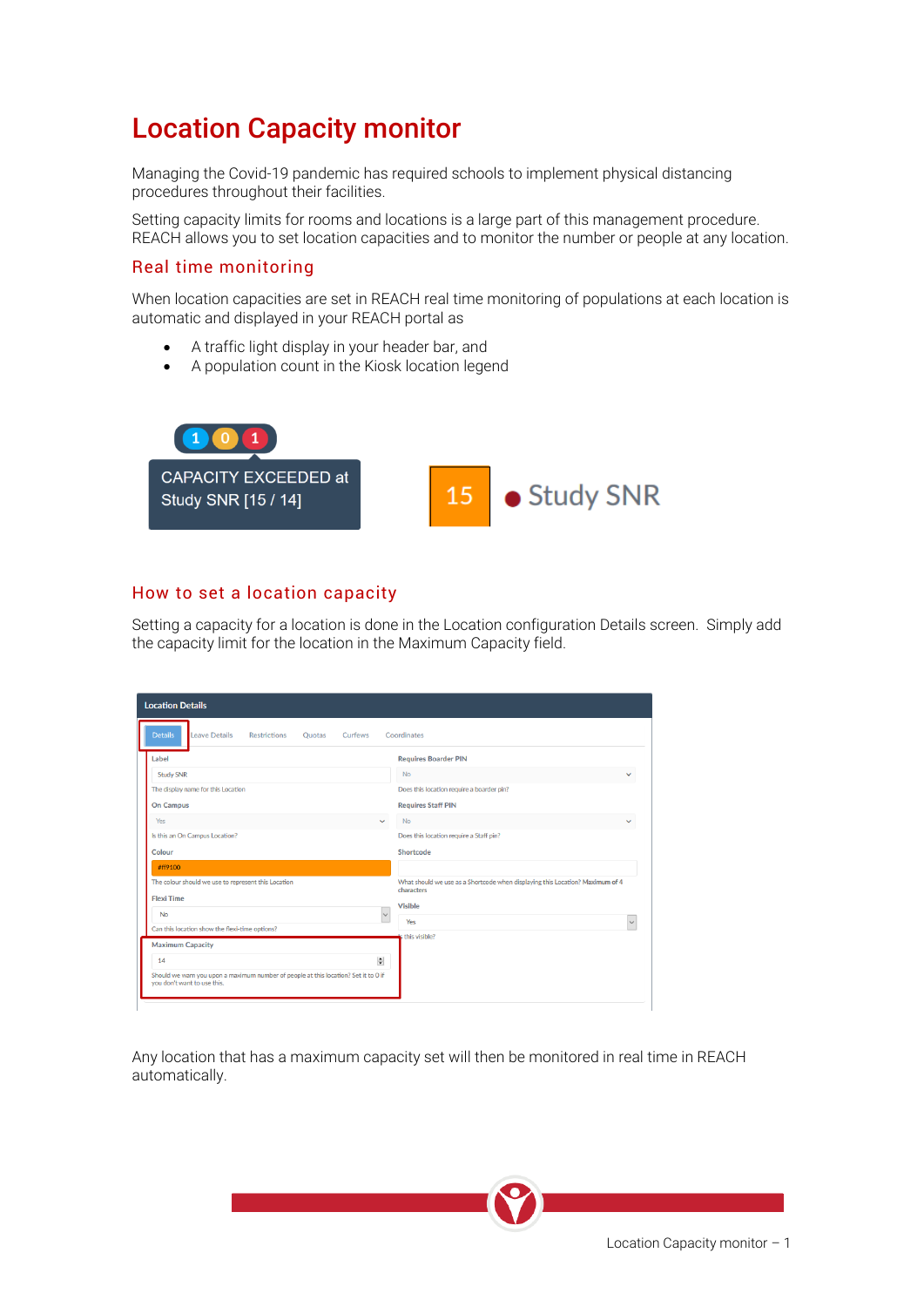# Location Capacity monitor

Managing the Covid-19 pandemic has required schools to implement physical distancing procedures throughout their facilities.

Setting capacity limits for rooms and locations is a large part of this management procedure. REACH allows you to set location capacities and to monitor the number or people at any location.

#### Real time monitoring

When location capacities are set in REACH real time monitoring of populations at each location is automatic and displayed in your REACH portal as

- A traffic light display in your header bar, and
- A population count in the Kiosk location legend



### How to set a location capacity

Setting a capacity for a location is done in the Location configuration Details screen. Simply add the capacity limit for the location in the Maximum Capacity field.

| <b>Location Details</b>                                                                                            |              |                                                                                             |              |  |
|--------------------------------------------------------------------------------------------------------------------|--------------|---------------------------------------------------------------------------------------------|--------------|--|
| <b>Details</b><br>Leave Details<br><b>Restrictions</b><br>Curfews<br><b>Ouotas</b>                                 |              | Coordinates                                                                                 |              |  |
| Label                                                                                                              |              | <b>Requires Boarder PIN</b>                                                                 |              |  |
| <b>Study SNR</b>                                                                                                   |              | <b>No</b>                                                                                   | $\checkmark$ |  |
| The display name for this Location                                                                                 |              | Does this location require a boarder pin?                                                   |              |  |
| <b>On Campus</b>                                                                                                   |              | <b>Requires Staff PIN</b>                                                                   |              |  |
| Yes                                                                                                                | $\checkmark$ | <b>No</b>                                                                                   |              |  |
| Is this an On Campus Location?                                                                                     |              | Does this location require a Staff pin?                                                     |              |  |
| Colour                                                                                                             |              | Shortcode                                                                                   |              |  |
| #ff9100                                                                                                            |              |                                                                                             |              |  |
| The colour should we use to represent this Location                                                                |              | What should we use as a Shortcode when displaying this Location? Maximum of 4<br>characters |              |  |
| <b>Flexi Time</b>                                                                                                  |              | <b>Visible</b>                                                                              |              |  |
| <b>No</b>                                                                                                          | $\vee$       | Yes                                                                                         |              |  |
| Can this location show the flexi-time options?                                                                     |              | is this visible?                                                                            |              |  |
| <b>Maximum Capacity</b>                                                                                            |              |                                                                                             |              |  |
| 14                                                                                                                 | 싂            |                                                                                             |              |  |
| Should we warn you upon a maximum number of people at this location? Set it to 0 if<br>you don't want to use this. |              |                                                                                             |              |  |
|                                                                                                                    |              |                                                                                             |              |  |

Any location that has a maximum capacity set will then be monitored in real time in REACH automatically.